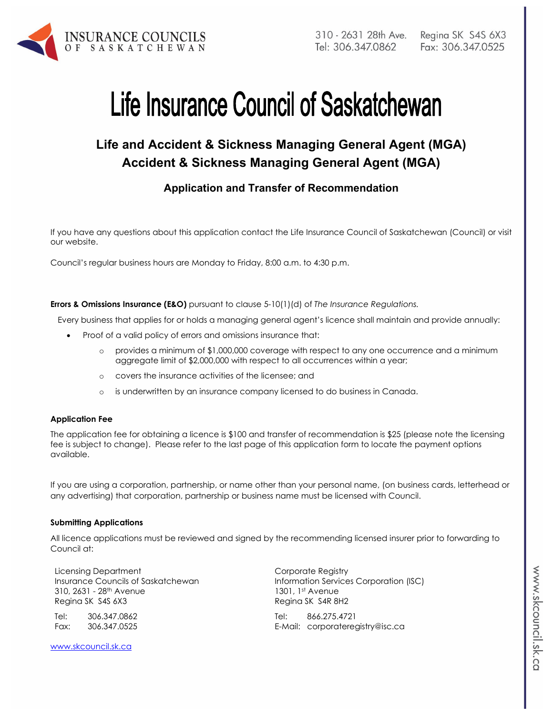

# Life Insurance Council of Saskatchewan

## **Life and Accident & Sickness Managing General Agent (MGA) Accident & Sickness Managing General Agent (MGA)**

## **Application and Transfer of Recommendation**

If you have any questions about this application contact the Life Insurance Council of Saskatchewan (Council) or visit our website.

Council's regular business hours are Monday to Friday, 8:00 a.m. to 4:30 p.m.

**Errors & Omissions Insurance (E&O)** pursuant to clause 5-10(1)(d) of *The Insurance Regulations.* 

Every business that applies for or holds a managing general agent's licence shall maintain and provide annually:

- Proof of a valid policy of errors and omissions insurance that:
	- o provides a minimum of \$1,000,000 coverage with respect to any one occurrence and a minimum aggregate limit of \$2,000,000 with respect to all occurrences within a year;
	- o covers the insurance activities of the licensee; and
	- o is underwritten by an insurance company licensed to do business in Canada.

#### **Application Fee**

The application fee for obtaining a licence is \$100 and transfer of recommendation is \$25 (please note the licensing fee is subject to change). Please refer to the last page of this application form to locate the payment options available.

If you are using a corporation, partnership, or name other than your personal name, (on business cards, letterhead or any advertising) that corporation, partnership or business name must be licensed with Council.

#### **Submitting Applications**

All licence applications must be reviewed and signed by the recommending licensed insurer prior to forwarding to Council at:

Licensing Department Insurance Councils of Saskatchewan 310, 2631 - 28<sup>th</sup> Avenue Regina SK S4S 6X3

Tel: 306.347.0862 Fax: 306.347.0525 Corporate Registry Information Services Corporation (ISC) 1301, 1st Avenue Regina SK S4R 8H2

Tel: 866.275.4721 E-Mail: corporateregistry@isc.ca

www.skcouncil.sk.ca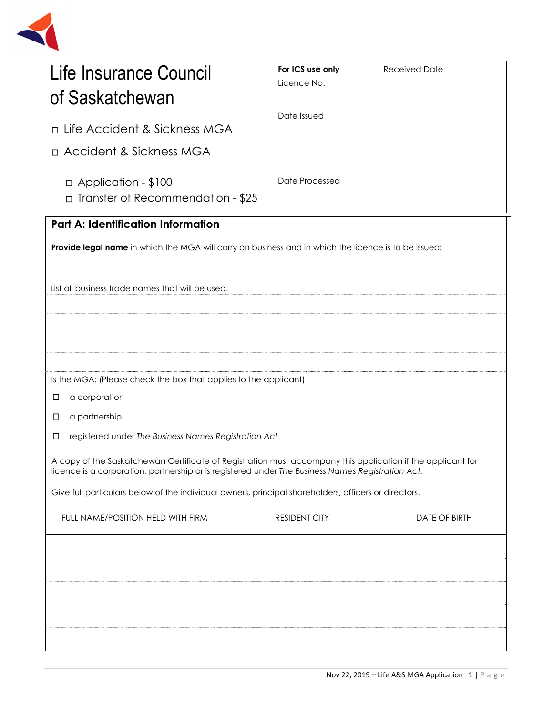

| Life Insurance Council                                                                                                                                                                                           | For ICS use only     | <b>Received Date</b> |  |  |  |  |
|------------------------------------------------------------------------------------------------------------------------------------------------------------------------------------------------------------------|----------------------|----------------------|--|--|--|--|
| of Saskatchewan                                                                                                                                                                                                  | Licence No.          |                      |  |  |  |  |
|                                                                                                                                                                                                                  | Date Issued          |                      |  |  |  |  |
| □ Life Accident & Sickness MGA                                                                                                                                                                                   |                      |                      |  |  |  |  |
| n Accident & Sickness MGA                                                                                                                                                                                        |                      |                      |  |  |  |  |
| □ Application - \$100<br>□ Transfer of Recommendation - \$25                                                                                                                                                     | Date Processed       |                      |  |  |  |  |
| <b>Part A: Identification Information</b>                                                                                                                                                                        |                      |                      |  |  |  |  |
| Provide legal name in which the MGA will carry on business and in which the licence is to be issued:                                                                                                             |                      |                      |  |  |  |  |
|                                                                                                                                                                                                                  |                      |                      |  |  |  |  |
| List all business trade names that will be used.                                                                                                                                                                 |                      |                      |  |  |  |  |
|                                                                                                                                                                                                                  |                      |                      |  |  |  |  |
|                                                                                                                                                                                                                  |                      |                      |  |  |  |  |
|                                                                                                                                                                                                                  |                      |                      |  |  |  |  |
| Is the MGA: (Please check the box that applies to the applicant)                                                                                                                                                 |                      |                      |  |  |  |  |
| a corporation<br>□                                                                                                                                                                                               |                      |                      |  |  |  |  |
| a partnership<br>□                                                                                                                                                                                               |                      |                      |  |  |  |  |
| registered under The Business Names Registration Act<br>□                                                                                                                                                        |                      |                      |  |  |  |  |
| A copy of the Saskatchewan Certificate of Registration must accompany this application if the applicant for<br>licence is a corporation, partnership or is registered under The Business Names Registration Act. |                      |                      |  |  |  |  |
| Give full particulars below of the individual owners, principal shareholders, officers or directors.                                                                                                             |                      |                      |  |  |  |  |
| FULL NAME/POSITION HELD WITH FIRM                                                                                                                                                                                | <b>RESIDENT CITY</b> | DATE OF BIRTH        |  |  |  |  |
|                                                                                                                                                                                                                  |                      |                      |  |  |  |  |
|                                                                                                                                                                                                                  |                      |                      |  |  |  |  |
|                                                                                                                                                                                                                  |                      |                      |  |  |  |  |
|                                                                                                                                                                                                                  |                      |                      |  |  |  |  |
|                                                                                                                                                                                                                  |                      |                      |  |  |  |  |
|                                                                                                                                                                                                                  |                      |                      |  |  |  |  |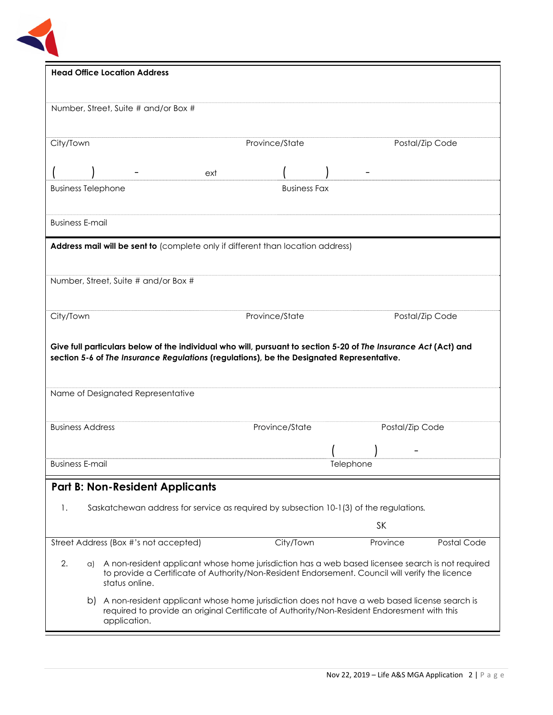

|                                                                                                                                                                                                                   | <b>Head Office Location Address</b>                                                                                                                                                                                      |     |                |                     |                  |           |                 |
|-------------------------------------------------------------------------------------------------------------------------------------------------------------------------------------------------------------------|--------------------------------------------------------------------------------------------------------------------------------------------------------------------------------------------------------------------------|-----|----------------|---------------------|------------------|-----------|-----------------|
|                                                                                                                                                                                                                   | Number, Street, Suite # and/or Box #                                                                                                                                                                                     |     |                |                     |                  |           |                 |
| City/Town                                                                                                                                                                                                         |                                                                                                                                                                                                                          |     | Province/State |                     |                  |           | Postal/Zip Code |
|                                                                                                                                                                                                                   |                                                                                                                                                                                                                          | ext |                |                     |                  |           |                 |
| <b>Business Telephone</b>                                                                                                                                                                                         |                                                                                                                                                                                                                          |     |                | <b>Business Fax</b> |                  |           |                 |
| <b>Business E-mail</b>                                                                                                                                                                                            |                                                                                                                                                                                                                          |     |                |                     |                  |           |                 |
|                                                                                                                                                                                                                   | Address mail will be sent to (complete only if different than location address)                                                                                                                                          |     |                |                     |                  |           |                 |
|                                                                                                                                                                                                                   | Number, Street, Suite # and/or Box #                                                                                                                                                                                     |     |                |                     |                  |           |                 |
| City/Town                                                                                                                                                                                                         |                                                                                                                                                                                                                          |     | Province/State |                     |                  |           | Postal/Zip Code |
|                                                                                                                                                                                                                   | Give full particulars below of the individual who will, pursuant to section 5-20 of The Insurance Act (Act) and<br>section 5-6 of The Insurance Regulations (regulations), be the Designated Representative.             |     |                |                     |                  |           |                 |
|                                                                                                                                                                                                                   | Name of Designated Representative                                                                                                                                                                                        |     |                |                     |                  |           |                 |
| <b>Business Address</b>                                                                                                                                                                                           |                                                                                                                                                                                                                          |     | Province/State |                     |                  |           | Postal/Zip Code |
|                                                                                                                                                                                                                   |                                                                                                                                                                                                                          |     |                |                     |                  |           |                 |
| <b>Business E-mail</b>                                                                                                                                                                                            |                                                                                                                                                                                                                          |     |                |                     | <b>Ielephone</b> |           |                 |
|                                                                                                                                                                                                                   | <b>Part B: Non-Resident Applicants</b>                                                                                                                                                                                   |     |                |                     |                  |           |                 |
| 1.                                                                                                                                                                                                                | Saskatchewan address for service as required by subsection 10-1(3) of the regulations.                                                                                                                                   |     |                |                     |                  |           |                 |
|                                                                                                                                                                                                                   |                                                                                                                                                                                                                          |     |                |                     |                  | <b>SK</b> |                 |
|                                                                                                                                                                                                                   | Street Address (Box #'s not accepted)                                                                                                                                                                                    |     | City/Town      |                     |                  | Province  | Postal Code     |
| 2.                                                                                                                                                                                                                | a) A non-resident applicant whose home jurisdiction has a web based licensee search is not required<br>to provide a Certificate of Authority/Non-Resident Endorsement. Council will verify the licence<br>status online. |     |                |                     |                  |           |                 |
| A non-resident applicant whose home jurisdiction does not have a web based license search is<br>b)<br>required to provide an original Certificate of Authority/Non-Resident Endoresment with this<br>application. |                                                                                                                                                                                                                          |     |                |                     |                  |           |                 |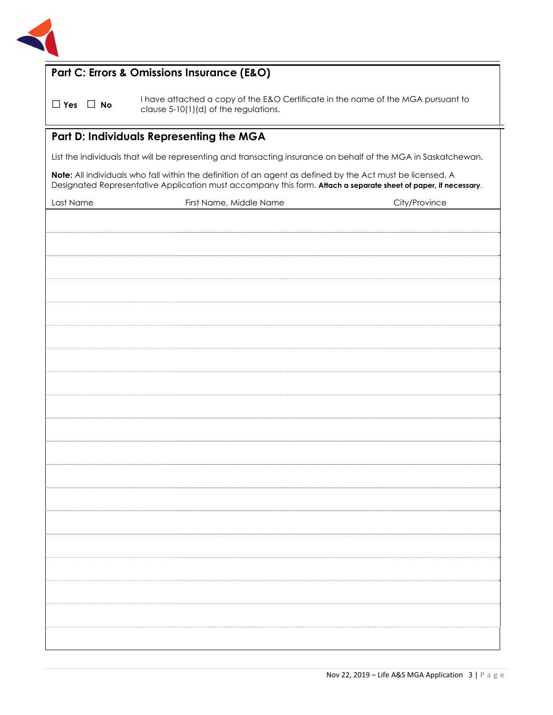

## **Part C: Errors & Omissions Insurance (E&O)**

□ **Yes** □ **No**I have attached a copy of the E&O Certificate in the name of the MGA pursuant to clause 5-10(1)(d) of the regulations.

#### **Part D: Individuals Representing the MGA**

List the individuals that will be representing and transacting insurance on behalf of the MGA in Saskatchewan.

**Note:** All individuals who fall within the definition of an agent as defined by the Act must be licensed. A Designated Representative Application must accompany this form. **Attach a separate sheet of paper, if necessary**.

| Last Name | First Name, Middle Name | City/Province |
|-----------|-------------------------|---------------|
|           |                         |               |
|           |                         |               |
|           |                         |               |
|           |                         |               |
|           |                         |               |
|           |                         |               |
|           |                         |               |
|           |                         |               |
|           |                         |               |
|           |                         |               |
|           |                         |               |
|           |                         |               |
|           |                         |               |
|           |                         |               |
|           |                         |               |
|           |                         |               |
|           |                         |               |
|           |                         |               |
|           |                         |               |
|           |                         |               |
|           |                         |               |
|           |                         |               |
|           |                         |               |
|           |                         |               |
|           |                         |               |
|           |                         |               |
|           |                         |               |
|           |                         |               |
|           |                         |               |
|           |                         |               |
|           |                         |               |
|           |                         |               |
|           |                         |               |
|           |                         |               |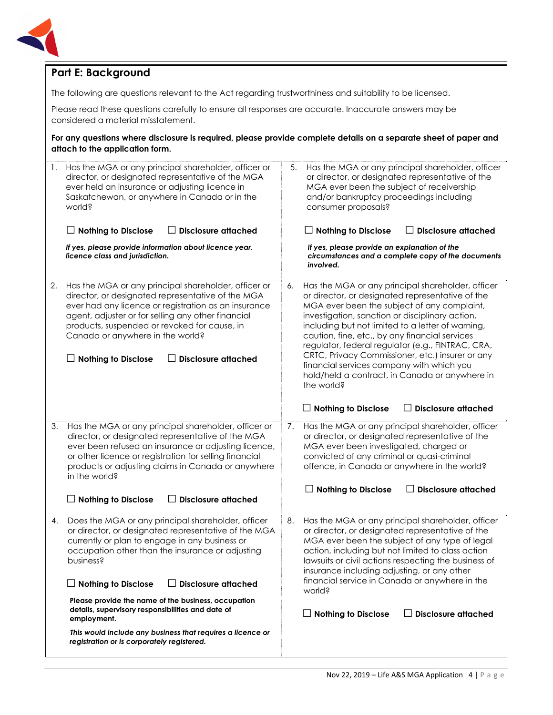

## **Part E: Background**

The following are questions relevant to the Act regarding trustworthiness and suitability to be licensed.

Please read these questions carefully to ensure all responses are accurate. Inaccurate answers may be considered a material misstatement.

**For any questions where disclosure is required, please provide complete details on a separate sheet of paper and attach to the application form.**

| 1. | Has the MGA or any principal shareholder, officer or<br>director, or designated representative of the MGA<br>ever held an insurance or adjusting licence in<br>Saskatchewan, or anywhere in Canada or in the<br>world?<br><b>Disclosure attached</b><br><b>Nothing to Disclose</b><br>ΙI                                                                                | Has the MGA or any principal shareholder, officer<br>5.<br>or director, or designated representative of the<br>MGA ever been the subject of receivership<br>and/or bankruptcy proceedings including<br>consumer proposals?<br>$\Box$ Disclosure attached                                                                                                                                                                                                                                                                                   |
|----|-------------------------------------------------------------------------------------------------------------------------------------------------------------------------------------------------------------------------------------------------------------------------------------------------------------------------------------------------------------------------|--------------------------------------------------------------------------------------------------------------------------------------------------------------------------------------------------------------------------------------------------------------------------------------------------------------------------------------------------------------------------------------------------------------------------------------------------------------------------------------------------------------------------------------------|
|    | If yes, please provide information about licence year,<br>licence class and jurisdiction.                                                                                                                                                                                                                                                                               | If yes, please provide an explanation of the<br>circumstances and a complete copy of the documents<br>involved.                                                                                                                                                                                                                                                                                                                                                                                                                            |
| 2. | Has the MGA or any principal shareholder, officer or<br>director, or designated representative of the MGA<br>ever had any licence or registration as an insurance<br>agent, adjuster or for selling any other financial<br>products, suspended or revoked for cause, in<br>Canada or anywhere in the world?<br><b>Nothing to Disclose</b><br>$\Box$ Disclosure attached | Has the MGA or any principal shareholder, officer<br>6.<br>or director, or designated representative of the<br>MGA ever been the subject of any complaint,<br>investigation, sanction or disciplinary action,<br>including but not limited to a letter of warning,<br>caution, fine, etc., by any financial services<br>regulator, federal regulator (e.g., FINTRAC, CRA,<br>CRTC, Privacy Commissioner, etc.) insurer or any<br>financial services company with which you<br>hold/held a contract, in Canada or anywhere in<br>the world? |
|    |                                                                                                                                                                                                                                                                                                                                                                         | <b>Disclosure attached</b><br>$\Box$ Nothing to Disclose                                                                                                                                                                                                                                                                                                                                                                                                                                                                                   |
| 3. | Has the MGA or any principal shareholder, officer or<br>director, or designated representative of the MGA<br>ever been refused an insurance or adjusting licence,<br>or other licence or registration for selling financial<br>products or adjusting claims in Canada or anywhere<br>in the world?                                                                      | Has the MGA or any principal shareholder, officer<br>7.<br>or director, or designated representative of the<br>MGA ever been investigated, charged or<br>convicted of any criminal or quasi-criminal<br>offence, in Canada or anywhere in the world?                                                                                                                                                                                                                                                                                       |
|    | <b>Disclosure attached</b><br><b>Nothing to Disclose</b><br>$\perp$                                                                                                                                                                                                                                                                                                     | $\Box$ Nothing to Disclose<br>$\Box$ Disclosure attached                                                                                                                                                                                                                                                                                                                                                                                                                                                                                   |
| 4. | Does the MGA or any principal shareholder, officer<br>or director, or designated representative of the MGA<br>currently or plan to engage in any business or<br>occupation other than the insurance or adjusting<br>business?<br><b>Disclosure attached</b><br>$\Box$ Nothing to Disclose<br>LΙ                                                                         | Has the MGA or any principal shareholder, officer<br>8.<br>or director, or designated representative of the<br>MGA ever been the subject of any type of legal<br>action, including but not limited to class action<br>lawsuits or civil actions respecting the business of<br>insurance including adjusting, or any other<br>financial service in Canada or anywhere in the                                                                                                                                                                |
|    | Please provide the name of the business, occupation<br>details, supervisory responsibilities and date of<br>employment.                                                                                                                                                                                                                                                 | world?<br>$\Box$ Disclosure attached<br>$\Box$ Nothing to Disclose                                                                                                                                                                                                                                                                                                                                                                                                                                                                         |
|    | This would include any business that requires a licence or<br>registration or is corporately registered.                                                                                                                                                                                                                                                                |                                                                                                                                                                                                                                                                                                                                                                                                                                                                                                                                            |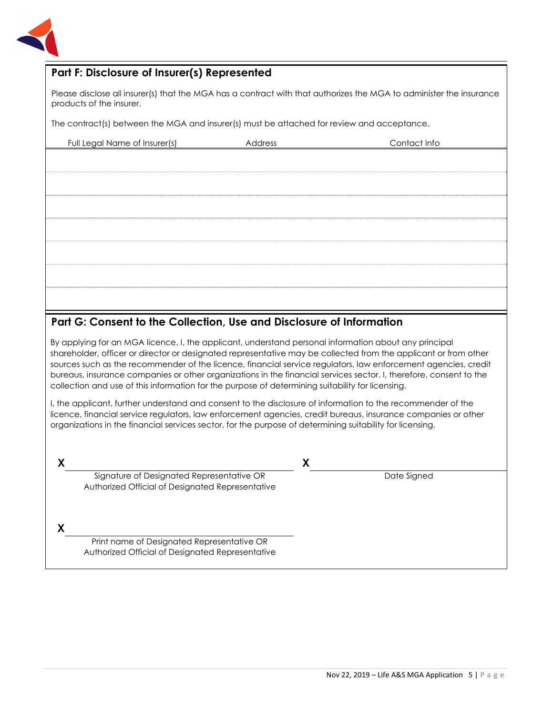

### **Part F: Disclosure of Insurer(s) Represented**

Please disclose all insurer(s) that the MGA has a contract with that authorizes the MGA to administer the insurance products of the insurer.

The contract(s) between the MGA and insurer(s) must be attached for review and acceptance.

| Full Legal Name of Insurer(s) | Address | Contact Info |
|-------------------------------|---------|--------------|
|                               |         |              |
|                               |         |              |
|                               |         |              |
|                               |         |              |
|                               |         |              |
|                               |         |              |
|                               |         |              |
|                               |         |              |
|                               |         |              |
|                               |         |              |
|                               |         |              |
|                               |         |              |
|                               |         |              |
|                               |         |              |
|                               |         |              |

### **Part G: Consent to the Collection, Use and Disclosure of Information**

By applying for an MGA licence, I, the applicant, understand personal information about any principal shareholder, officer or director or designated representative may be collected from the applicant or from other sources such as the recommender of the licence, financial service regulators, law enforcement agencies, credit bureaus, insurance companies or other organizations in the financial services sector. I, therefore, consent to the collection and use of this information for the purpose of determining suitability for licensing.

I, the applicant, further understand and consent to the disclosure of information to the recommender of the licence, financial service regulators, law enforcement agencies, credit bureaus, insurance companies or other organizations in the financial services sector, for the purpose of determining suitability for licensing.

**X X** Signature of Designated Representative OR Authorized Official of Designated Representative

Date Signed

**X**

Print name of Designated Representative OR Authorized Official of Designated Representative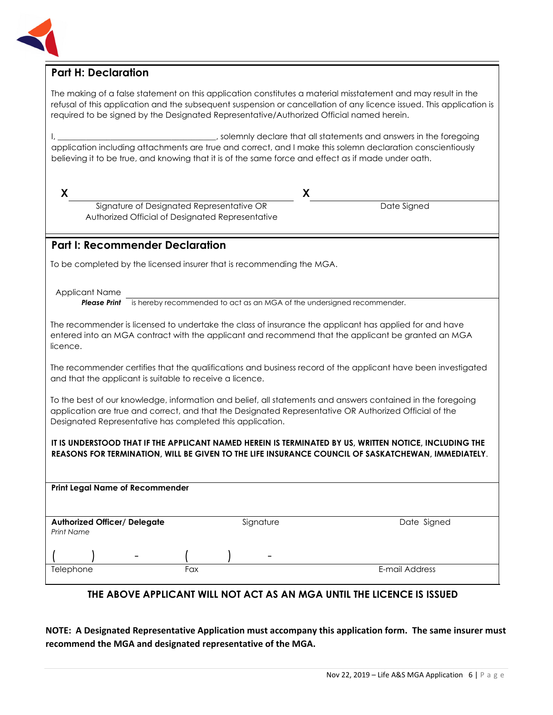

#### **Part H: Declaration**

The making of a false statement on this application constitutes a material misstatement and may result in the refusal of this application and the subsequent suspension or cancellation of any licence issued. This application is required to be signed by the Designated Representative/Authorized Official named herein.

I, \_\_\_\_\_\_\_\_\_\_\_\_\_\_\_\_\_\_\_\_\_\_\_\_\_\_\_\_\_\_\_\_\_\_\_\_\_\_\_, solemnly declare that all statements and answers in the foregoing application including attachments are true and correct, and I make this solemn declaration conscientiously believing it to be true, and knowing that it is of the same force and effect as if made under oath.

**X X**

Date Signed

#### **Part I: Recommender Declaration**

To be completed by the licensed insurer that is recommending the MGA.

Signature of Designated Representative OR Authorized Official of Designated Representative

Applicant Name **Please Print** is hereby recommended to act as an MGA of the undersigned recommender.

The recommender is licensed to undertake the class of insurance the applicant has applied for and have entered into an MGA contract with the applicant and recommend that the applicant be granted an MGA licence.

The recommender certifies that the qualifications and business record of the applicant have been investigated and that the applicant is suitable to receive a licence.

To the best of our knowledge, information and belief, all statements and answers contained in the foregoing application are true and correct, and that the Designated Representative OR Authorized Official of the Designated Representative has completed this application.

#### **IT IS UNDERSTOOD THAT IF THE APPLICANT NAMED HEREIN IS TERMINATED BY US, WRITTEN NOTICE, INCLUDING THE REASONS FOR TERMINATION, WILL BE GIVEN TO THE LIFE INSURANCE COUNCIL OF SASKATCHEWAN, IMMEDIATELY**.

| <b>Print Legal Name of Recommender</b> |                          |     |  |                          |                |
|----------------------------------------|--------------------------|-----|--|--------------------------|----------------|
|                                        |                          |     |  |                          |                |
|                                        |                          |     |  |                          |                |
| <b>Authorized Officer/ Delegate</b>    |                          |     |  | Signature                | Date Signed    |
| Print Name                             |                          |     |  |                          |                |
|                                        |                          |     |  |                          |                |
|                                        | $\overline{\phantom{0}}$ |     |  | $\overline{\phantom{0}}$ |                |
| Telephone                              |                          | Fax |  |                          | E-mail Address |

#### **THE ABOVE APPLICANT WILL NOT ACT AS AN MGA UNTIL THE LICENCE IS ISSUED**

**NOTE: A Designated Representative Application must accompany this application form. The same insurer must recommend the MGA and designated representative of the MGA.**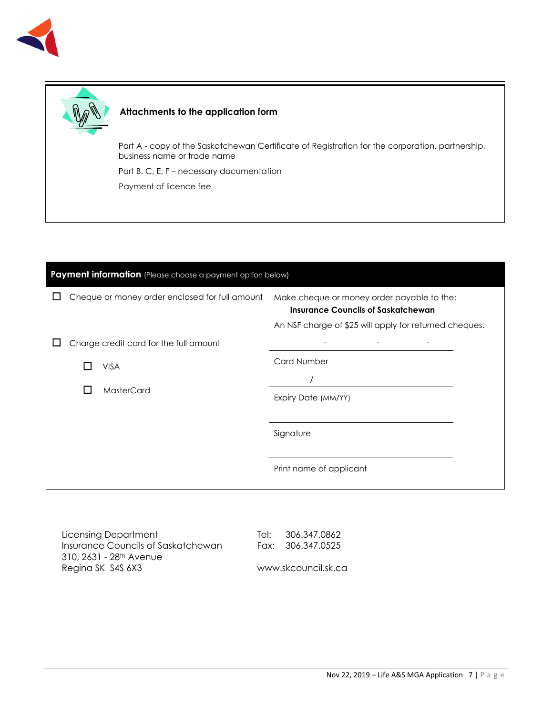



#### **Attachments to the application form**

Part A - copy of the Saskatchewan Certificate of Registration for the corporation, partnership, business name or trade name

Part B, C, E, F – necessary documentation

Payment of licence fee

| Payment information (Please choose a payment option below) |                                                |                                                                                         |  |  |  |  |
|------------------------------------------------------------|------------------------------------------------|-----------------------------------------------------------------------------------------|--|--|--|--|
|                                                            | Cheque or money order enclosed for full amount | Make cheque or money order payable to the:<br><b>Insurance Councils of Saskatchewan</b> |  |  |  |  |
|                                                            |                                                | An NSF charge of \$25 will apply for returned cheques.                                  |  |  |  |  |
|                                                            | Charge credit card for the full amount         |                                                                                         |  |  |  |  |
|                                                            | <b>VISA</b>                                    | <b>Card Number</b>                                                                      |  |  |  |  |
|                                                            |                                                |                                                                                         |  |  |  |  |
|                                                            | MasterCard                                     | Expiry Date (MM/YY)                                                                     |  |  |  |  |
|                                                            |                                                |                                                                                         |  |  |  |  |
|                                                            |                                                | Signature                                                                               |  |  |  |  |
|                                                            |                                                | Print name of applicant                                                                 |  |  |  |  |

Licensing Department Insurance Councils of Saskatchewan 310, 2631 - 28th Avenue Regina SK S4S 6X3

Tel: 306.347.0862 Fax: 306.347.0525

www.skcouncil.sk.ca